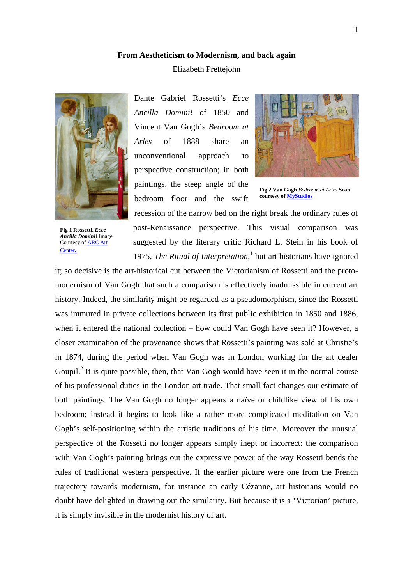## **From Aestheticism to Modernism, and back again**

## Elizabeth Prettejohn



**Fig 1 Rossetti,** *Ecce Ancilla Domini!* Image Courtesy o[f ARC Art](http://www.artrenewal.org/)  [Center](http://www.artrenewal.org/)**.**

Dante Gabriel Rossetti's *Ecce Ancilla Domini!* of 1850 and Vincent Van Gogh's *Bedroom at Arles* of 1888 share an unconventional approach to perspective construction; in both paintings, the steep angle of the bedroom floor and the swift



**Fig 2 Van Gogh** *Bedroom at Arles* **Scan courtesy of [MyStudios](http://www.mystudios.com/)**

post-Renaissance perspective. This visual comparison was suggested by the literary critic Richard L. Stein in his book of [1](#page-15-0)975, *The Ritual of Interpretation*,<sup>1</sup> but art historians have ignored

recession of the narrow bed on the right break the ordinary rules of

it; so decisive is the art-historical cut between the Victorianism of Rossetti and the protomodernism of Van Gogh that such a comparison is effectively inadmissible in current art history. Indeed, the similarity might be regarded as a pseudomorphism, since the Rossetti was immured in private collections between its first public exhibition in 1850 and 1886, when it entered the national collection – how could Van Gogh have seen it? However, a closer examination of the provenance shows that Rossetti's painting was sold at Christie's in 1874, during the period when Van Gogh was in London working for the art dealer Goupil.<sup>[2](#page-15-1)</sup> It is quite possible, then, that Van Gogh would have seen it in the normal course of his professional duties in the London art trade. That small fact changes our estimate of both paintings. The Van Gogh no longer appears a naïve or childlike view of his own bedroom; instead it begins to look like a rather more complicated meditation on Van Gogh's self-positioning within the artistic traditions of his time. Moreover the unusual perspective of the Rossetti no longer appears simply inept or incorrect: the comparison with Van Gogh's painting brings out the expressive power of the way Rossetti bends the rules of traditional western perspective. If the earlier picture were one from the French trajectory towards modernism, for instance an early Cézanne, art historians would no doubt have delighted in drawing out the similarity. But because it is a 'Victorian' picture, it is simply invisible in the modernist history of art.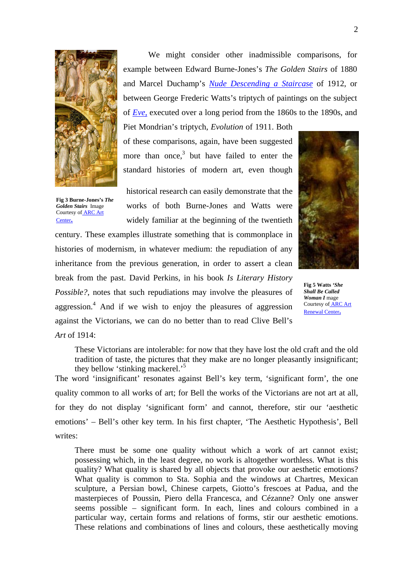

We might consider other inadmissible comparisons, for example between Edward Burne-Jones's *The Golden Stairs* of 1880 and Marcel Duchamp's *[Nude Descending a Staircase](http://www.beatmuseum.org/duchamp/images/nude2.jpg)* of 1912, or between George Frederic Watts's triptych of paintings on the subject of *[Eve](http://www.artrenewal.org/asp/database/image.asp?id=16466)*, executed over a long period from the 1860s to the 1890s, and

Piet Mondrian's triptych, *Evolution* of 1911. Both of these comparisons, again, have been suggested more than onc[e,](#page-15-2) $3$  but have failed to enter the standard histories of modern art, even though

**Fig 3 Burne-Jones's** *The Golden Stairs* Image Courtesy o[f ARC Art](http://www.artrenewal.org/)  [Center](http://www.artrenewal.org/)**.**

historical research can easily demonstrate that the works of both Burne-Jones and Watts were widely familiar at the beginning of the twentieth

century. These examples illustrate something that is commonplace in histories of modernism, in whatever medium: the repudiation of any inheritance from the previous generation, in order to assert a clean break from the past. David Perkins, in his book *Is Literary History Possible?*, notes that such repudiations may involve the pleasures of aggression.<sup>[4](#page-15-3)</sup> And if we wish to enjoy the pleasures of aggression against the Victorians, we can do no better than to read Clive Bell's *Art* of 1914:



**Fig 5 Watts** *'She Shall Be Called Woman I* mage Courtesy o[f ARC Art](http://www.artrenewal.org/)  [Renewal Center](http://www.artrenewal.org/)**.**

These Victorians are intolerable: for now that they have lost the old craft and the old tradition of taste, the pictures that they make are no longer pleasantly insignificant; they bellow 'stinking mackerel.'[5](#page-15-4)

The word 'insignificant' resonates against Bell's key term, 'significant form', the one quality common to all works of art; for Bell the works of the Victorians are not art at all, for they do not display 'significant form' and cannot, therefore, stir our 'aesthetic emotions' – Bell's other key term. In his first chapter, 'The Aesthetic Hypothesis', Bell writes:

There must be some one quality without which a work of art cannot exist; possessing which, in the least degree, no work is altogether worthless. What is this quality? What quality is shared by all objects that provoke our aesthetic emotions? What quality is common to Sta. Sophia and the windows at Chartres, Mexican sculpture, a Persian bowl, Chinese carpets, Giotto's frescoes at Padua, and the masterpieces of Poussin, Piero della Francesca, and Cézanne? Only one answer seems possible – significant form. In each, lines and colours combined in a particular way, certain forms and relations of forms, stir our aesthetic emotions. These relations and combinations of lines and colours, these aesthetically moving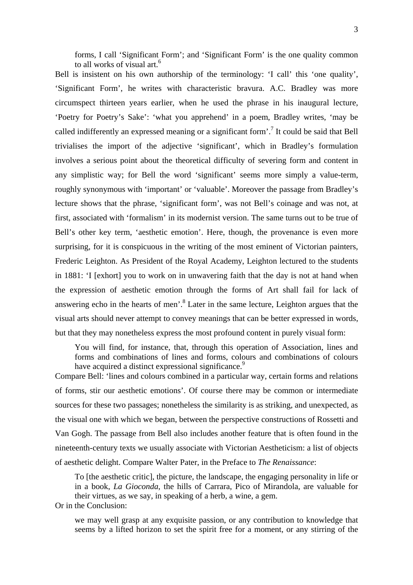forms, I call 'Significant Form'; and 'Significant Form' is the one quality common to all works of visual art.<sup>[6](#page-15-5)</sup>

Bell is insistent on his own authorship of the terminology: 'I call' this 'one quality', 'Significant Form', he writes with characteristic bravura. A.C. Bradley was more circumspect thirteen years earlier, when he used the phrase in his inaugural lecture, 'Poetry for Poetry's Sake': 'what you apprehend' in a poem, Bradley writes, 'may be called indifferently an expressed meaning or a significant form'.<sup>7</sup> It could be said that Bell trivialises the import of the adjective 'significant', which in Bradley's formulation involves a serious point about the theoretical difficulty of severing form and content in any simplistic way; for Bell the word 'significant' seems more simply a value-term, roughly synonymous with 'important' or 'valuable'. Moreover the passage from Bradley's lecture shows that the phrase, 'significant form', was not Bell's coinage and was not, at first, associated with 'formalism' in its modernist version. The same turns out to be true of Bell's other key term, 'aesthetic emotion'. Here, though, the provenance is even more surprising, for it is conspicuous in the writing of the most eminent of Victorian painters, Frederic Leighton. As President of the Royal Academy, Leighton lectured to the students in 1881: 'I [exhort] you to work on in unwavering faith that the day is not at hand when the expression of aesthetic emotion through the forms of Art shall fail for lack of answering echo in the hearts of men'.<sup>8</sup> Later in the same lecture, Leighton argues that the visual arts should never attempt to convey meanings that can be better expressed in words, but that they may nonetheless express the most profound content in purely visual form:

You will find, for instance, that, through this operation of Association, lines and forms and combinations of lines and forms, colours and combinations of colours have acquired a distinct expressional significance.<sup>[9](#page-15-8)</sup>

Compare Bell: 'lines and colours combined in a particular way, certain forms and relations of forms, stir our aesthetic emotions'. Of course there may be common or intermediate sources for these two passages; nonetheless the similarity is as striking, and unexpected, as the visual one with which we began, between the perspective constructions of Rossetti and Van Gogh. The passage from Bell also includes another feature that is often found in the nineteenth-century texts we usually associate with Victorian Aestheticism: a list of objects of aesthetic delight. Compare Walter Pater, in the Preface to *The Renaissance*:

To [the aesthetic critic], the picture, the landscape, the engaging personality in life or in a book, *La Gioconda*, the hills of Carrara, Pico of Mirandola, are valuable for their virtues, as we say, in speaking of a herb, a wine, a gem.

Or in the Conclusion:

we may well grasp at any exquisite passion, or any contribution to knowledge that seems by a lifted horizon to set the spirit free for a moment, or any stirring of the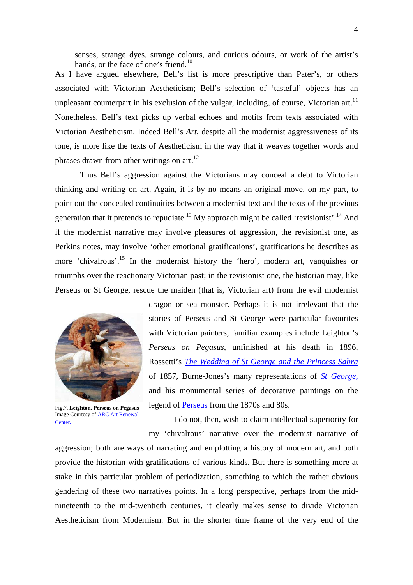senses, strange dyes, strange colours, and curious odours, or work of the artist's hands, or the face of one's friend.<sup>10</sup>

As I have argued elsewhere, Bell's list is more prescriptive than Pater's, or others associated with Victorian Aestheticism; Bell's selection of 'tasteful' objects has an unpleasant counterpart in his exclusion of the vulgar, including, of course, Victorian art.<sup>11</sup> Nonetheless, Bell's text picks up verbal echoes and motifs from texts associated with Victorian Aestheticism. Indeed Bell's *Art*, despite all the modernist aggressiveness of its tone, is more like the texts of Aestheticism in the way that it weaves together words and phrases drawn from other writings on  $art.^{12}$ .

Thus Bell's aggression against the Victorians may conceal a debt to Victorian thinking and writing on art. Again, it is by no means an original move, on my part, to point out the concealed continuities between a modernist text and the texts of the previous generation that it pretends to repudiate.<sup>13</sup> My approach might be called 'revisionist'.<sup>14</sup> And if the modernist narrative may involve pleasures of aggression, the revisionist one, as Perkins notes, may involve 'other emotional gratifications', gratifications he describes as more 'chivalrous'.<sup>15</sup> In the modernist history the 'hero', modern art, vanquishes or triumphs over the reactionary Victorian past; in the revisionist one, the historian may, like Perseus or St George, rescue the maiden (that is, Victorian art) from the evil modernist



Fig.7. **Leighton, Perseus on Pegasus** Image Courtesy of [ARC Art Renewal](http://www.artrenewal.org/)  [Center](http://www.artrenewal.org/)**.**

dragon or sea monster. Perhaps it is not irrelevant that the stories of Perseus and St George were particular favourites with Victorian painters; familiar examples include Leighton's *Perseus on Pegasus*, unfinished at his death in 1896, Rossetti's *[The Wedding of St George and the Princess Sabra](http://www.rossettiarchive.org/zoom/s97.img.html)* of 1857, Burne-Jones's many representations of *[St George](http://www.abcgallery.com/B/burne-jones/burnejones12.html)*, and his monumental series of decorative paintings on the legend of [Perseus](http://www.victorianweb.org/painting/bj/paintings/p6.html) from the 1870s and 80s.

I do not, then, wish to claim intellectual superiority for my 'chivalrous' narrative over the modernist narrative of

aggression; both are ways of narrating and emplotting a history of modern art, and both provide the historian with gratifications of various kinds. But there is something more at stake in this particular problem of periodization, something to which the rather obvious gendering of these two narratives points. In a long perspective, perhaps from the midnineteenth to the mid-twentieth centuries, it clearly makes sense to divide Victorian Aestheticism from Modernism. But in the shorter time frame of the very end of the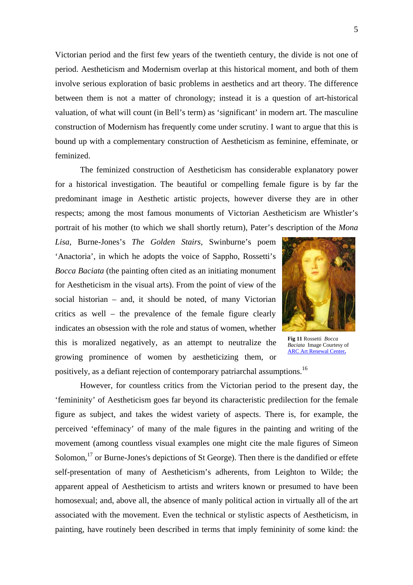Victorian period and the first few years of the twentieth century, the divide is not one of period. Aestheticism and Modernism overlap at this historical moment, and both of them involve serious exploration of basic problems in aesthetics and art theory. The difference between them is not a matter of chronology; instead it is a question of art-historical valuation, of what will count (in Bell's term) as 'significant' in modern art. The masculine construction of Modernism has frequently come under scrutiny. I want to argue that this is bound up with a complementary construction of Aestheticism as feminine, effeminate, or feminized.

The feminized construction of Aestheticism has considerable explanatory power for a historical investigation. The beautiful or compelling female figure is by far the predominant image in Aesthetic artistic projects, however diverse they are in other respects; among the most famous monuments of Victorian Aestheticism are Whistler's portrait of his mother (to which we shall shortly return), Pater's d escription of the *Mona* 

*Lisa*, Burne-Jones's *The Golden Stairs*, Swinburne's poem 'Anactoria', in which he adopts the voice of Sappho, Rossetti's *Bocca Baciata* (the painting often cited as an initiating monument for Aestheticism in the visual arts). From the point of view of the social historian – and, it should be noted, of many Victorian critics as well – the prevalence of the female figure clearly indicates an obsession with the role and status of women, whether this is moralized negatively, as an attempt to neutralize the growing prominence of women by aestheticizing them, or positively, as a defiant rejection of contemporary patriarchal assumptions.<sup>16</sup>



**Fig 11** Rossetti *Bocca Baciata* Image Courtesy of [ARC Art Renewal Center](http://www.artrenewal.org/)**.**

However, for countless critics from the Victorian period to the present day, the 'femininity' of Aestheticism goes far beyond its characteristic predilection for the female figure as subject, and takes the widest variety of aspects. There is, for example, the perceived 'effeminacy' of many of the male figures in the painting and writing of the movement (among countless visual examples one might cite the male figures of Simeon Solomon,<sup>17</sup> or Burne-Jones's depictions of St George). Then there is the dandified or effete self-presentation of many of Aestheticism's adherents, from Leighton to Wilde; the apparent appeal of Aestheticism to artists and writers known or presumed to have been homosexual; and, above all, the absence of manly political action in virtually all of the art associated with the movement. Even the technical or stylistic aspects of Aestheticism, in painting, have routinely been described in terms that imply femininity of some kind: the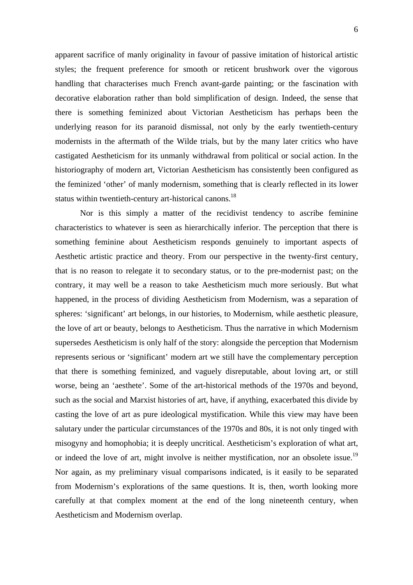apparent sacrifice of manly originality in favour of passive imitation of historical artistic styles; the frequent preference for smooth or reticent brushwork over the vigorous handling that characterises much French avant-garde painting; or the fascination with decorative elaboration rather than bold simplification of design. Indeed, the sense that there is something feminized about Victorian Aestheticism has perhaps been the underlying reason for its paranoid dismissal, not only by the early twentieth-century modernists in the aftermath of the Wilde trials, but by the many later critics who have castigated Aestheticism for its unmanly withdrawal from political or social action. In the historiography of modern art, Victorian Aestheticism has consistently been configured as the feminized 'other' of manly modernism, something that is clearly reflected in its lower status within twentieth-century art-historical canons.<sup>18</sup>

 Nor is this simply a matter of the recidivist tendency to ascribe feminine characteristics to whatever is seen as hierarchically inferior. The perception that there is something feminine about Aestheticism responds genuinely to important aspects of Aesthetic artistic practice and theory. From our perspective in the twenty-first century, that is no reason to relegate it to secondary status, or to the pre-modernist past; on the contrary, it may well be a reason to take Aestheticism much more seriously. But what happened, in the process of dividing Aestheticism from Modernism, was a separation of spheres: 'significant' art belongs, in our histories, to Modernism, while aesthetic pleasure, the love of art or beauty, belongs to Aestheticism. Thus the narrative in which Modernism supersedes Aestheticism is only half of the story: alongside the perception that Modernism represents serious or 'significant' modern art we still have the complementary perception that there is something feminized, and vaguely disreputable, about loving art, or still worse, being an 'aesthete'. Some of the art-historical methods of the 1970s and beyond, such as the social and Marxist histories of art, have, if anything, exacerbated this divide by casting the love of art as pure ideological mystification. While this view may have been salutary under the particular circumstances of the 1970s and 80s, it is not only tinged with misogyny and homophobia; it is deeply uncritical. Aestheticism's exploration of what art, or indeed the love of art, might involve is neither mystification, nor an obsolete issue.<sup>19</sup> Nor again, as my preliminary visual comparisons indicated, is it easily to be separated from Modernism's explorations of the same questions. It is, then, worth looking more carefully at that complex moment at the end of the long nineteenth century, when Aestheticism and Modernism overlap.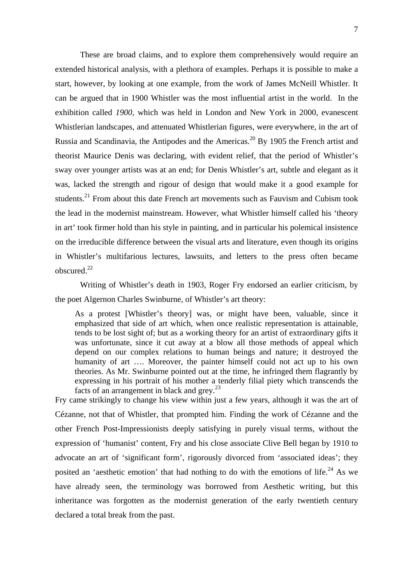These are broad claims, and to explore them comprehensively would require an extended historical analysis, with a plethora of examples. Perhaps it is possible to make a start, however, by looking at one example, from the work of James McNeill Whistler. It can be argued that in 1900 Whistler was the most influential artist in the world. In the exhibition called *1900*, which was held in London and New York in 2000, evanescent Whistlerian landscapes, and attenuated Whistlerian figures, were everywhere, in the art of Russia and Scandinavia, the Antipodes and the Americas.<sup>20</sup> By 1905 the French artist and theorist Maurice Denis was declaring, with evident relief, that the period of Whistler's sway over younger artists was at an end; for Denis Whistler's art, subtle and elegant as it was, lacked the strength and rigour of design that would make it a good example for students.<sup>21</sup> From about this date French art movements such as Fauvism and Cubism took the lead in the modernist mainstream. However, what Whistler himself called his 'theory in art' took firmer hold than his style in painting, and in particular his polemical insistence on the irreducible difference between the visual arts and literature, even though its origins in Whistler's multifarious lectures, lawsuits, and letters to the press often became obscured.[22](#page-15-21)

Writing of Whistler's death in 1903, Roger Fry endorsed an earlier criticism, by the poet Algernon Charles Swinburne, of Whistler's art theory:

As a protest [Whistler's theory] was, or might have been, valuable, since it emphasized that side of art which, when once realistic representation is attainable, tends to be lost sight of; but as a working theory for an artist of extraordinary gifts it was unfortunate, since it cut away at a blow all those methods of appeal which depend on our complex relations to human beings and nature; it destroyed the humanity of art …. Moreover, the painter himself could not act up to his own theories. As Mr. Swinburne pointed out at the time, he infringed them flagrantly by expressing in his portrait of his mother a tenderly filial piety which transcends the facts of an arrangement in black and grey.<sup>[23](#page-15-22)</sup>

Fry came strikingly to change his view within just a few years, although it was the art of Cézanne, not that of Whistler, that prompted him. Finding the work of Cézanne and the other French Post-Impressionists deeply satisfying in purely visual terms, without the expression of 'humanist' content, Fry and his close associate Clive Bell began by 1910 to advocate an art of 'significant form', rigorously divorced from 'associated ideas'; they posited an 'aesthetic emotion' that had nothing to do with the emotions of life.<sup>24</sup> As we have already seen, the terminology was borrowed from Aesthetic writing, but this inheritance was forgotten as the modernist generation of the early twentieth century declared a total break from the past.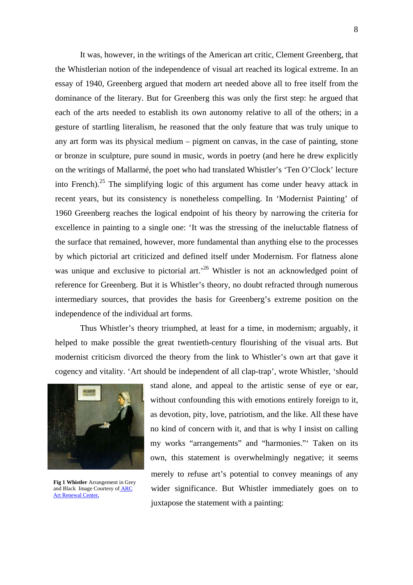It was, however, in the writings of the American art critic, Clement Greenberg, that the Whistlerian notion of the independence of visual art reached its logical extreme. In an essay of 1940, Greenberg argued that modern art needed above all to free itself from the dominance of the literary. But for Greenberg this was only the first step: he argued that each of the arts needed to establish its own autonomy relative to all of the others; in a gesture of startling literalism, he reasoned that the only feature that was truly unique to any art form was its physical medium – pigment on canvas, in the case of painting, stone or bronze in sculpture, pure sound in music, words in poetry (and here he drew explicitly on the writings of Mallarmé, the poet who had translated Whistler's 'Ten O'Clock' lecture into French).<sup>25</sup> The simplifying logic of this argument has come under heavy attack in recent years, but its consistency is nonetheless compelling. In 'Modernist Painting' of 1960 Greenberg reaches the logical endpoint of his theory by narrowing the criteria for excellence in painting to a single one: 'It was the stressing of the ineluctable flatness of the surface that remained, however, more fundamental than anything else to the processes by which pictorial art criticized and defined itself under Modernism. For flatness alone was unique and exclusive to pictorial art.<sup>26</sup> Whistler is not an acknowledged point of reference for Greenberg. But it is Whistler's theory, no doubt refracted through numerous intermediary sources, that provides the basis for Greenberg's extreme position on the independence of the individual art forms.

Thus Whistler's theory triumphed, at least for a time, in modernism; arguably, it helped to make possible the great twentieth-century flourishing of the visual arts. But modernist criticism divorced the theory from the link to Whistler's own art that gave it cogency and vitality. 'Art should be independent of all clap-trap', wrote Whistler, 'should



**Fig 1 Whistler** Arrangement in Grey and Black Image Courtesy o[f ARC](http://www.artrenewal.org/)  [Art Renewal Center](http://www.artrenewal.org/)**.**

stand alone, and appeal to the artistic sense of eye or ear, without confounding this with emotions entirely foreign to it. as devotion, pity, love, patriotism, and the like. All these have no kind of concern with it, and that is why I insist on calling my works "arrangements" and "harmonies."' Taken on its own, this statement is overwhelmingly negative; it seems merely to refuse art's potential to convey meanings of any wider significance. But Whistler immediately goes on to juxtapose the statement with a painting: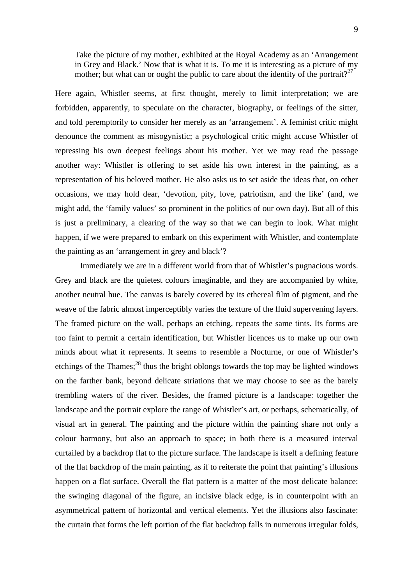Take the picture of my mother, exhibited at the Royal Academy as an 'Arrangement in Grey and Black.' Now that is what it is. To me it is interesting as a picture of my mother; but what can or ought the public to care about the identity of the portrait?<sup>[27](#page-15-26)</sup>

Here again, Whistler seems, at first thought, merely to limit interpretation; we are forbidden, apparently, to speculate on the character, biography, or feelings of the sitter, and told peremptorily to consider her merely as an 'arrangement'. A feminist critic might denounce the comment as misogynistic; a psychological critic might accuse Whistler of repressing his own deepest feelings about his mother. Yet we may read the passage another way: Whistler is offering to set aside his own interest in the painting, as a representation of his beloved mother. He also asks us to set aside the ideas that, on other occasions, we may hold dear, 'devotion, pity, love, patriotism, and the like' (and, we might add, the 'family values' so prominent in the politics of our own day). But all of this is just a preliminary, a clearing of the way so that we can begin to look. What might happen, if we were prepared to embark on this experiment with Whistler, and contemplate the painting as an 'arrangement in grey and black'?

 Immediately we are in a different world from that of Whistler's pugnacious words. Grey and black are the quietest colours imaginable, and they are accompanied by white, another neutral hue. The canvas is barely covered by its ethereal film of pigment, and the weave of the fabric almost imperceptibly varies the texture of the fluid supervening layers. The framed picture on the wall, perhaps an etching, repeats the same tints. Its forms are too faint to permit a certain identification, but Whistler licences us to make up our own minds about what it represents. It seems to resemble a Nocturne, or one of Whistler's etchings of the Thames;<sup>28</sup> thus the bright oblongs towards the top may be lighted windows on the farther bank, beyond delicate striations that we may choose to see as the barely trembling waters of the river. Besides, the framed picture is a landscape: together the landscape and the portrait explore the range of Whistler's art, or perhaps, schematically, of visual art in general. The painting and the picture within the painting share not only a colour harmony, but also an approach to space; in both there is a measured interval curtailed by a backdrop flat to the picture surface. The landscape is itself a defining feature of the flat backdrop of the main painting, as if to reiterate the point that painting's illusions happen on a flat surface. Overall the flat pattern is a matter of the most delicate balance: the swinging diagonal of the figure, an incisive black edge, is in counterpoint with an asymmetrical pattern of horizontal and vertical elements. Yet the illusions also fascinate: the curtain that forms the left portion of the flat backdrop falls in numerous irregular folds,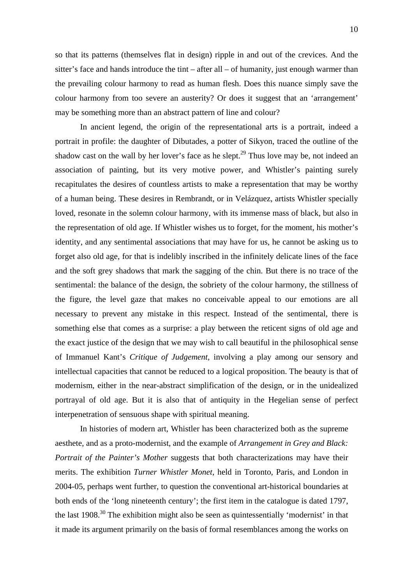so that its patterns (themselves flat in design) ripple in and out of the crevices. And the sitter's face and hands introduce the tint – after all – of humanity, just enough warmer than the prevailing colour harmony to read as human flesh. Does this nuance simply save the colour harmony from too severe an austerity? Or does it suggest that an 'arrangement' may be something more than an abstract pattern of line and colour?

 In ancient legend, the origin of the representational arts is a portrait, indeed a portrait in profile: the daughter of Dibutades, a potter of Sikyon, traced the outline of the shadow cast on the wall by her lover's face as he slept.<sup>29</sup> Thus love may be, not indeed an association of painting, but its very motive power, and Whistler's painting surely recapitulates the desires of countless artists to make a representation that may be worthy of a human being. These desires in Rembrandt, or in Velázquez, artists Whistler specially loved, resonate in the solemn colour harmony, with its immense mass of black, but also in the representation of old age. If Whistler wishes us to forget, for the moment, his mother's identity, and any sentimental associations that may have for us, he cannot be asking us to forget also old age, for that is indelibly inscribed in the infinitely delicate lines of the face and the soft grey shadows that mark the sagging of the chin. But there is no trace of the sentimental: the balance of the design, the sobriety of the colour harmony, the stillness of the figure, the level gaze that makes no conceivable appeal to our emotions are all necessary to prevent any mistake in this respect. Instead of the sentimental, there is something else that comes as a surprise: a play between the reticent signs of old age and the exact justice of the design that we may wish to call beautiful in the philosophical sense of Immanuel Kant's *Critique of Judgement*, involving a play among our sensory and intellectual capacities that cannot be reduced to a logical proposition. The beauty is that of modernism, either in the near-abstract simplification of the design, or in the unidealized portrayal of old age. But it is also that of antiquity in the Hegelian sense of perfect interpenetration of sensuous shape with spiritual meaning.

In histories of modern art, Whistler has been characterized both as the supreme aesthete, and as a proto-modernist, and the example of *Arrangement in Grey and Black: Portrait of the Painter's Mother* suggests that both characterizations may have their merits. The exhibition *Turner Whistler Monet*, held in Toronto, Paris, and London in 2004-05, perhaps went further, to question the conventional art-historical boundaries at both ends of the 'long nineteenth century'; the first item in the catalogue is dated 1797, the last  $1908<sup>30</sup>$  The exhibition might also be seen as quintessentially 'modernist' in that it made its argument primarily on the basis of formal resemblances among the works on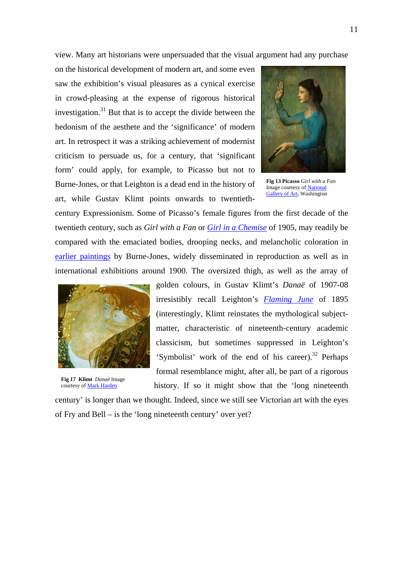view. Many art historians were unpersuaded that the visual argument had any purchase

on the historical development of modern art, and some even saw the exhibition's visual pleasures as a cynical exercise in crowd-pleasing at the expense of rigorous historical investigation. $31$  But that is to accept the divide between the hedonism of the aesthete and the 'significance' of modern art. In retrospect it was a striking achievement of modernist criticism to persuade us, for a century, that 'significant form' could apply, for example, to Picasso but not to Burne-Jones, or that Leighton is a dead end in the history of art, while Gustav Klimt points onwards to twentieth-



**Fig 13 Picasso** *Girl with a Fan*  Image courtesy o[f National](http://www.nga.gov/)  [Gallery of Art,](http://www.nga.gov/) Washington

century Expressionism. Some of Picasso's female figures from the first decade of the twentieth century, such as *Girl with a Fan* or *[Girl in a Chemise](http://www.tate.org.uk/servlet/ViewWork?cgroupid=999999961&workid=11856&searchid=8492&tabview=image)* of 1905, may readily be compared with the emaciated bodies, drooping necks, and melancholic coloration in [earlier paintings](http://www.victorianweb.org/painting/leighton/paintings/4.html) by Burne-Jones, widely disseminated in reproduction as well as in international exhibitions around 1900. The oversized thigh, as well as the array of



**Fig 17 Klimt** *Danaë* Image courtesy of [Mark Harden](http://www.artchive.com/)

golden colours, in Gustav Klimt's *Danaë* of 1907-08 irresistibly recall Leighton's *[Flaming June](http://persephone.cps.unizar.es/General/Gente/SPD/Pre-Raphaelites/Big/FlamingJune.jpg)* of 1895 (interestingly, Klimt reinstates the mythological subjectmatter, characteristic of nineteenth-century academic classicism, but sometimes suppressed in Leighton's 'Symbolist' work of the end of his care[er\).](#page-15-30)<sup>32</sup> Perhaps formal resemblance might, after all, be part of a rigorous history. If so it might show that the 'long nineteenth

century' is longer than we thought. Indeed, since we still see Victorian art with the eyes of Fry and Bell – is the 'long nineteenth century' over yet?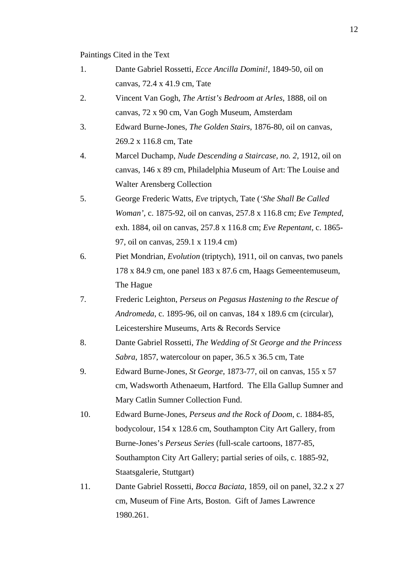## Paintings Cited in the Text

- 1. Dante Gabriel Rossetti, *Ecce Ancilla Domini!*, 1849-50, oil on canvas, 72.4 x 41.9 cm, Tate
- 2. Vincent Van Gogh, *The Artist's Bedroom at Arles*, 1888, oil on canvas, 72 x 90 cm, Van Gogh Museum, Amsterdam
- 3. Edward Burne-Jones, *The Golden Stairs*, 1876-80, oil on canvas, 269.2 x 116.8 cm, Tate
- 4. Marcel Duchamp, *Nude Descending a Staircase, no. 2*, 1912, oil on canvas, 146 x 89 cm, Philadelphia Museum of Art: The Louise and Walter Arensberg Collection
- 5. George Frederic Watts, *Eve* triptych, Tate (*'She Shall Be Called Woman'*, c. 1875-92, oil on canvas, 257.8 x 116.8 cm; *Eve Tempted*, exh. 1884, oil on canvas, 257.8 x 116.8 cm; *Eve Repentant*, c. 1865- 97, oil on canvas, 259.1 x 119.4 cm)
- 6. Piet Mondrian, *Evolution* (triptych), 1911, oil on canvas, two panels 178 x 84.9 cm, one panel 183 x 87.6 cm, Haags Gemeentemuseum, The Hague
- 7. Frederic Leighton, *Perseus on Pegasus Hastening to the Rescue of Andromeda*, c. 1895-96, oil on canvas, 184 x 189.6 cm (circular), Leicestershire Museums, Arts & Records Service
- 8. Dante Gabriel Rossetti, *The Wedding of St George and the Princess Sabra*, 1857, watercolour on paper, 36.5 x 36.5 cm, Tate
- 9. Edward Burne-Jones, *St George*, 1873-77, oil on canvas, 155 x 57 cm, Wadsworth Athenaeum, Hartford. The Ella Gallup Sumner and Mary Catlin Sumner Collection Fund.
- 10. Edward Burne-Jones, *Perseus and the Rock of Doom*, c. 1884-85, bodycolour, 154 x 128.6 cm, Southampton City Art Gallery, from Burne-Jones's *Perseus Series* (full-scale cartoons, 1877-85, Southampton City Art Gallery; partial series of oils, c. 1885-92, Staatsgalerie, Stuttgart)
- 11. Dante Gabriel Rossetti, *Bocca Baciata*, 1859, oil on panel, 32.2 x 27 cm, Museum of Fine Arts, Boston. Gift of James Lawrence 1980.261.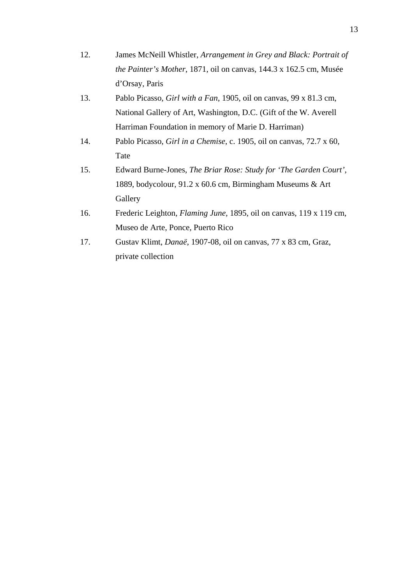- 12. James McNeill Whistler, *Arrangement in Grey and Black: Portrait of the Painter's Mother*, 1871, oil on canvas, 144.3 x 162.5 cm, Musée d'Orsay, Paris
- 13. Pablo Picasso, *Girl with a Fan*, 1905, oil on canvas, 99 x 81.3 cm, National Gallery of Art, Washington, D.C. (Gift of the W. Averell Harriman Foundation in memory of Marie D. Harriman)
- 14. Pablo Picasso, *Girl in a Chemise*, c. 1905, oil on canvas, 72.7 x 60, Tate
- 15. Edward Burne-Jones, *The Briar Rose: Study for 'The Garden Court'*, 1889, bodycolour, 91.2 x 60.6 cm, Birmingham Museums & Art **Gallery**
- 16. Frederic Leighton, *Flaming June*, 1895, oil on canvas, 119 x 119 cm, Museo de Arte, Ponce, Puerto Rico
- 17. Gustav Klimt, *Danaë*, 1907-08, oil on canvas, 77 x 83 cm, Graz, private collection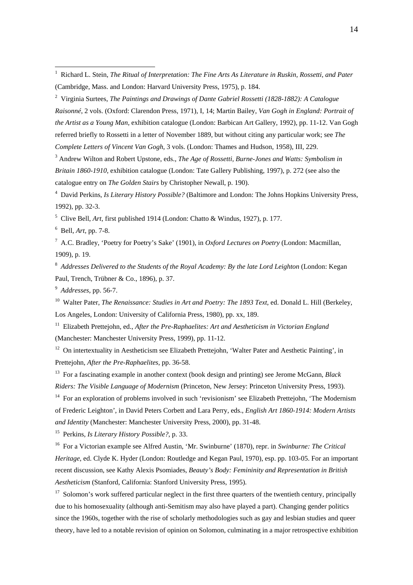2 Virginia Surtees, *The Paintings and Drawings of Dante Gabriel Rossetti (1828-1882): A Catalogue Raisonné*, 2 vols. (Oxford: Clarendon Press, 1971), I, 14; Martin Bailey, *Van Gogh in England: Portrait of the Artist as a Young Man*, exhibition catalogue (London: Barbican Art Gallery, 1992), pp. 11-12. Van Gogh referred briefly to Rossetti in a letter of November 1889, but without citing any particular work; see *The Complete Letters of Vincent Van Gogh*, 3 vols. (London: Thames and Hudson, 1958), III, 229.

<sup>3</sup> Andrew Wilton and Robert Upstone, eds., *The Age of Rossetti, Burne-Jones and Watts: Symbolism in Britain 1860-1910*, exhibition catalogue (London: Tate Gallery Publishing, 1997), p. 272 (see also the catalogue entry on *The Golden Stairs* by Christopher Newall, p. 190).

4 David Perkins, *Is Literary History Possible?* (Baltimore and London: The Johns Hopkins University Press, 1992), pp. 32-3.

5 Clive Bell, *Art*, first published 1914 (London: Chatto & Windus, 1927), p. 177.

6 Bell, *Art*, pp. 7-8.

 $\overline{a}$ 

7 A.C. Bradley, 'Poetry for Poetry's Sake' (1901), in *Oxford Lectures on Poetry* (London: Macmillan, 1909), p. 19.

<sup>8</sup> Addresses Delivered to the Students of the Royal Academy: By the late Lord Leighton (London: Kegan Paul, Trench, Trübner & Co., 1896), p. 37.

9 *Addresses*, pp. 56-7.

<sup>10</sup> Walter Pater, *The Renaissance: Studies in Art and Poetry: The 1893 Text*, ed. Donald L. Hill (Berkeley, Los Angeles, London: University of California Press, 1980), pp. xx, 189.

11 Elizabeth Prettejohn, ed., *After the Pre-Raphaelites: Art and Aestheticism in Victorian England* (Manchester: Manchester University Press, 1999), pp. 11-12.

<sup>12</sup> On intertextuality in Aestheticism see Elizabeth Prettejohn, 'Walter Pater and Aesthetic Painting', in Prettejohn, *After the Pre-Raphaelites*, pp. 36-58.

13 For a fascinating example in another context (book design and printing) see Jerome McGann, *Black Riders: The Visible Language of Modernism* (Princeton, New Jersey: Princeton University Press, 1993).

<sup>14</sup> For an exploration of problems involved in such 'revisionism' see Elizabeth Prettejohn, 'The Modernism' of Frederic Leighton', in David Peters Corbett and Lara Perry, eds., *English Art 1860-1914: Modern Artists and Identity* (Manchester: Manchester University Press, 2000), pp. 31-48.

15 Perkins, *Is Literary History Possible?*, p. 33.

16 For a Victorian example see Alfred Austin, 'Mr. Swinburne' (1870), repr. in *Swinburne: The Critical Heritage*, ed. Clyde K. Hyder (London: Routledge and Kegan Paul, 1970), esp. pp. 103-05. For an important recent discussion, see Kathy Alexis Psomiades, *Beauty's Body: Femininity and Representation in British Aestheticism* (Stanford, California: Stanford University Press, 1995).

<sup>17</sup> Solomon's work suffered particular neglect in the first three quarters of the twentieth century, principally due to his homosexuality (although anti-Semitism may also have played a part). Changing gender politics since the 1960s, together with the rise of scholarly methodologies such as gay and lesbian studies and queer theory, have led to a notable revision of opinion on Solomon, culminating in a major retrospective exhibition

<sup>&</sup>lt;sup>1</sup> Richard L. Stein, *The Ritual of Interpretation: The Fine Arts As Literature in Ruskin, Rossetti, and Pater* (Cambridge, Mass. and London: Harvard University Press, 1975), p. 184.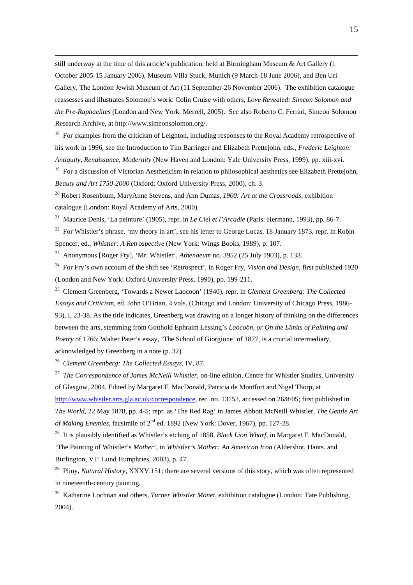still underway at the time of this article's publication, held at Birmingham Museum & Art Gallery (1 October 2005-15 January 2006), Museum Villa Stuck, Munich (9 March-18 June 2006), and Ben Uri Gallery, The London Jewish Museum of Art (11 September-26 November 2006). The exhibition catalogue reassesses and illustrates Solomon's work: Colin Cruise with others, *Love Revealed: Simeon Solomon and the Pre-Raphaelites* (London and New York: Merrell, 2005). See also Roberto C. Ferrari, Simeon Solomon Research Archive, at http://www.simeonsolomon.org/.

<sup>18</sup> For examples from the criticism of Leighton, including responses to the Royal Academy retrospective of his work in 1996, see the Introduction to Tim Barringer and Elizabeth Prettejohn, eds., *Frederic Leighton: Antiquity, Renaissance, Modernity* (New Haven and London: Yale University Press, 1999), pp. xiii-xvi.

<sup>19</sup> For a discussion of Victorian Aestheticism in relation to philosophical aesthetics see Elizabeth Prettejohn, *Beauty and Art 1750-2000* (Oxford: Oxford University Press, 2000), ch. 3.

20 Robert Rosenblum, MaryAnne Stevens, and Ann Dumas, *1900: Art at the Crossroads*, exhibition catalogue (London: Royal Academy of Arts, 2000).

21 Maurice Denis, 'La peinture' (1905), repr. in *Le Ciel et l'Arcadie* (Paris: Hermann, 1993), pp. 86-7.

<sup>22</sup> For Whistler's phrase, 'my theory in art', see his letter to George Lucas, 18 January 1873, repr. in Robin Spencer, ed., *Whistler: A Retrospective* (New York: Wings Books, 1989), p. 107.

23 Anonymous [Roger Fry], 'Mr. Whistler', *Athenaeum* no. 3952 (25 July 1903), p. 133.

24 For Fry's own account of the shift see 'Retrospect', in Roger Fry, *Vision and Design*, first published 1920 (London and New York: Oxford University Press, 1990), pp. 199-211.

25 Clement Greenberg, 'Towards a Newer Laocoon' (1940), repr. in *Clement Greenberg: The Collected Essays and Criticism*, ed. John O'Brian, 4 vols. (Chicago and London: University of Chicago Press, 1986- 93), I, 23-38. As the title indicates, Greenberg was drawing on a longer history of thinking on the differences between the arts, stemming from Gotthold Ephraim Lessing's *Laocoön, or On the Limits of Painting and Poetry* of 1766; Walter Pater's essay, 'The School of Giorgione' of 1877, is a crucial intermediary, acknowledged by Greenberg in a note (p. 32).

26 *Clement Greenberg: The Collected Essays*, IV, 87.

27 *The Correspondence of James McNeill Whistler*, on-line edition, Centre for Whistler Studies, University of Glasgow, 2004. Edited by Margaret F. MacDonald, Patricia de Montfort and Nigel Thorp, at

<http://www.whistler.arts.gla.ac.uk/correspondence>, rec. no. 13153, accessed on 26/8/05; first published in *The World*, 22 May 1878, pp. 4-5; repr. as 'The Red Rag' in James Abbott McNeill Whistler, *The Gentle Art of Making Enemies*, facsimile of 2nd ed. 1892 (New York: Dover, 1967), pp. 127-28.

28 It is plausibly identified as Whistler's etching of 1858, *Black Lion Wharf*, in Margaret F. MacDonald, 'The Painting of Whistler's *Mother*', in *Whistler's Mother: An American Icon* (Aldershot, Hants. and Burlington, VT: Lund Humphries, 2003), p. 47.

29 Pliny, *Natural History*, XXXV.151; there are several versions of this story, which was often represented in nineteenth-century painting.

30 Katharine Lochnan and others, *Turner Whistler Monet*, exhibition catalogue (London: Tate Publishing, 2004).